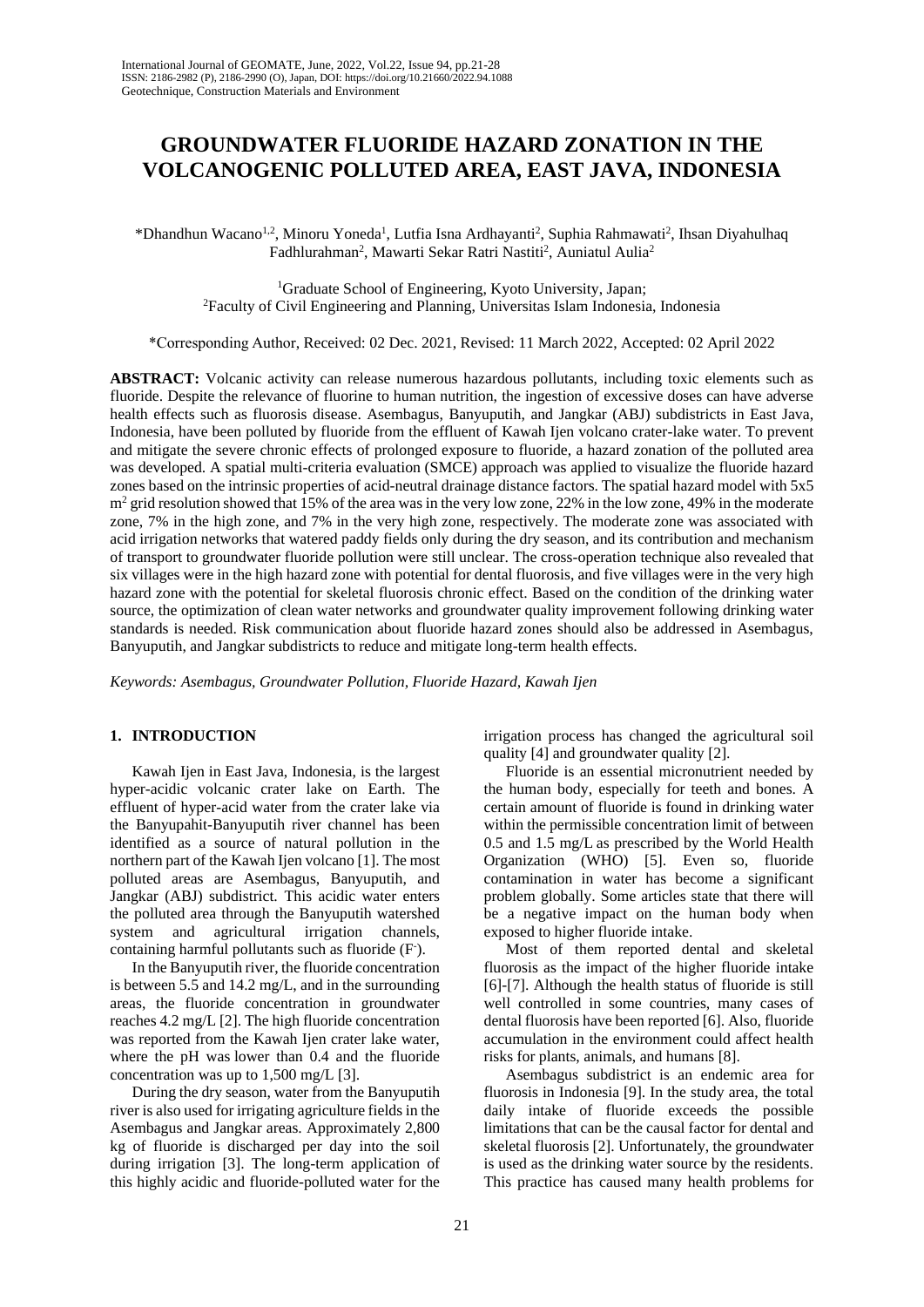# **GROUNDWATER FLUORIDE HAZARD ZONATION IN THE VOLCANOGENIC POLLUTED AREA, EAST JAVA, INDONESIA**

\*Dhandhun Wacano<sup>1,2</sup>, Minoru Yoneda<sup>1</sup>, Lutfia Isna Ardhayanti<sup>2</sup>, Suphia Rahmawati<sup>2</sup>, Ihsan Diyahulhaq Fadhlurahman<sup>2</sup>, Mawarti Sekar Ratri Nastiti<sup>2</sup>, Auniatul Aulia<sup>2</sup>

> <sup>1</sup>Graduate School of Engineering, Kyoto University, Japan; <sup>2</sup>Faculty of Civil Engineering and Planning, Universitas Islam Indonesia, Indonesia

\*Corresponding Author, Received: 02 Dec. 2021, Revised: 11 March 2022, Accepted: 02 April 2022

**ABSTRACT:** Volcanic activity can release numerous hazardous pollutants, including toxic elements such as fluoride. Despite the relevance of fluorine to human nutrition, the ingestion of excessive doses can have adverse health effects such as fluorosis disease. Asembagus, Banyuputih, and Jangkar (ABJ) subdistricts in East Java, Indonesia, have been polluted by fluoride from the effluent of Kawah Ijen volcano crater-lake water. To prevent and mitigate the severe chronic effects of prolonged exposure to fluoride, a hazard zonation of the polluted area was developed. A spatial multi-criteria evaluation (SMCE) approach was applied to visualize the fluoride hazard zones based on the intrinsic properties of acid-neutral drainage distance factors. The spatial hazard model with 5x5  $m<sup>2</sup>$  grid resolution showed that 15% of the area was in the very low zone, 22% in the low zone, 49% in the moderate zone, 7% in the high zone, and 7% in the very high zone, respectively. The moderate zone was associated with acid irrigation networks that watered paddy fields only during the dry season, and its contribution and mechanism of transport to groundwater fluoride pollution were still unclear. The cross-operation technique also revealed that six villages were in the high hazard zone with potential for dental fluorosis, and five villages were in the very high hazard zone with the potential for skeletal fluorosis chronic effect. Based on the condition of the drinking water source, the optimization of clean water networks and groundwater quality improvement following drinking water standards is needed. Risk communication about fluoride hazard zones should also be addressed in Asembagus, Banyuputih, and Jangkar subdistricts to reduce and mitigate long-term health effects.

*Keywords: Asembagus, Groundwater Pollution, Fluoride Hazard, Kawah Ijen*

## **1. INTRODUCTION**

Kawah Ijen in East Java, Indonesia, is the largest hyper-acidic volcanic crater lake on Earth. The effluent of hyper-acid water from the crater lake via the Banyupahit-Banyuputih river channel has been identified as a source of natural pollution in the northern part of the Kawah Ijen volcano [1]. The most polluted areas are Asembagus, Banyuputih, and Jangkar (ABJ) subdistrict. This acidic water enters the polluted area through the Banyuputih watershed system and agricultural irrigation channels, containing harmful pollutants such as fluoride (F).

In the Banyuputih river, the fluoride concentration is between 5.5 and 14.2 mg/L, and in the surrounding areas, the fluoride concentration in groundwater reaches 4.2 mg/L [2]. The high fluoride concentration was reported from the Kawah Ijen crater lake water, where the pH was lower than 0.4 and the fluoride concentration was up to 1,500 mg/L [3].

During the dry season, water from the Banyuputih river is also used for irrigating agriculture fields in the Asembagus and Jangkar areas. Approximately 2,800 kg of fluoride is discharged per day into the soil during irrigation [3]. The long-term application of this highly acidic and fluoride-polluted water for the irrigation process has changed the agricultural soil quality [4] and groundwater quality [2].

Fluoride is an essential micronutrient needed by the human body, especially for teeth and bones. A certain amount of fluoride is found in drinking water within the permissible concentration limit of between 0.5 and 1.5 mg/L as prescribed by the World Health Organization (WHO) [5]. Even so, fluoride contamination in water has become a significant problem globally. Some articles state that there will be a negative impact on the human body when exposed to higher fluoride intake.

Most of them reported dental and skeletal fluorosis as the impact of the higher fluoride intake [6]-[7]. Although the health status of fluoride is still well controlled in some countries, many cases of dental fluorosis have been reported [6]. Also, fluoride accumulation in the environment could affect health risks for plants, animals, and humans [8].

Asembagus subdistrict is an endemic area for fluorosis in Indonesia [9]. In the study area, the total daily intake of fluoride exceeds the possible limitations that can be the causal factor for dental and skeletal fluorosis [2]. Unfortunately, the groundwater is used as the drinking water source by the residents. This practice has caused many health problems for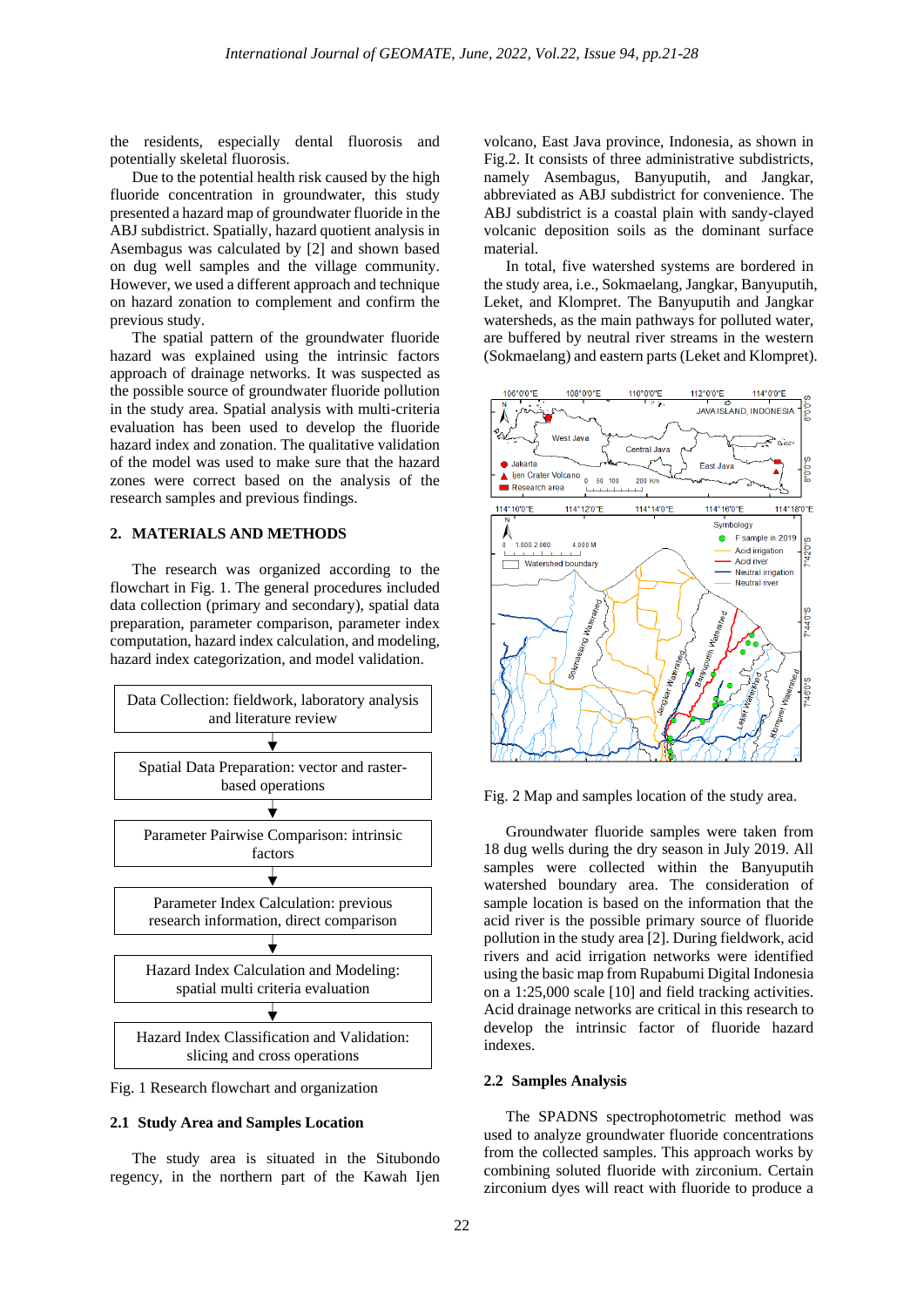the residents, especially dental fluorosis and potentially skeletal fluorosis.

Due to the potential health risk caused by the high fluoride concentration in groundwater, this study presented a hazard map of groundwater fluoride in the ABJ subdistrict. Spatially, hazard quotient analysis in Asembagus was calculated by [2] and shown based on dug well samples and the village community. However, we used a different approach and technique on hazard zonation to complement and confirm the previous study.

The spatial pattern of the groundwater fluoride hazard was explained using the intrinsic factors approach of drainage networks. It was suspected as the possible source of groundwater fluoride pollution in the study area. Spatial analysis with multi-criteria evaluation has been used to develop the fluoride hazard index and zonation. The qualitative validation of the model was used to make sure that the hazard zones were correct based on the analysis of the research samples and previous findings.

## **2. MATERIALS AND METHODS**

The research was organized according to the flowchart in Fig. 1. The general procedures included data collection (primary and secondary), spatial data preparation, parameter comparison, parameter index computation, hazard index calculation, and modeling, hazard index categorization, and model validation.



Fig. 1 Research flowchart and organization

#### **2.1 Study Area and Samples Location**

The study area is situated in the Situbondo regency, in the northern part of the Kawah Ijen volcano, East Java province, Indonesia, as shown in Fig.2. It consists of three administrative subdistricts, namely Asembagus, Banyuputih, and Jangkar, abbreviated as ABJ subdistrict for convenience. The ABJ subdistrict is a coastal plain with sandy-clayed volcanic deposition soils as the dominant surface material.

In total, five watershed systems are bordered in the study area, i.e., Sokmaelang, Jangkar, Banyuputih, Leket, and Klompret. The Banyuputih and Jangkar watersheds, as the main pathways for polluted water, are buffered by neutral river streams in the western (Sokmaelang) and eastern parts (Leket and Klompret).



Fig. 2 Map and samples location of the study area.

Groundwater fluoride samples were taken from 18 dug wells during the dry season in July 2019. All samples were collected within the Banyuputih watershed boundary area. The consideration of sample location is based on the information that the acid river is the possible primary source of fluoride pollution in the study area [2]. During fieldwork, acid rivers and acid irrigation networks were identified using the basic map from Rupabumi Digital Indonesia on a 1:25,000 scale [10] and field tracking activities. Acid drainage networks are critical in this research to develop the intrinsic factor of fluoride hazard indexes.

#### **2.2 Samples Analysis**

The SPADNS spectrophotometric method was used to analyze groundwater fluoride concentrations from the collected samples. This approach works by combining soluted fluoride with zirconium. Certain zirconium dyes will react with fluoride to produce a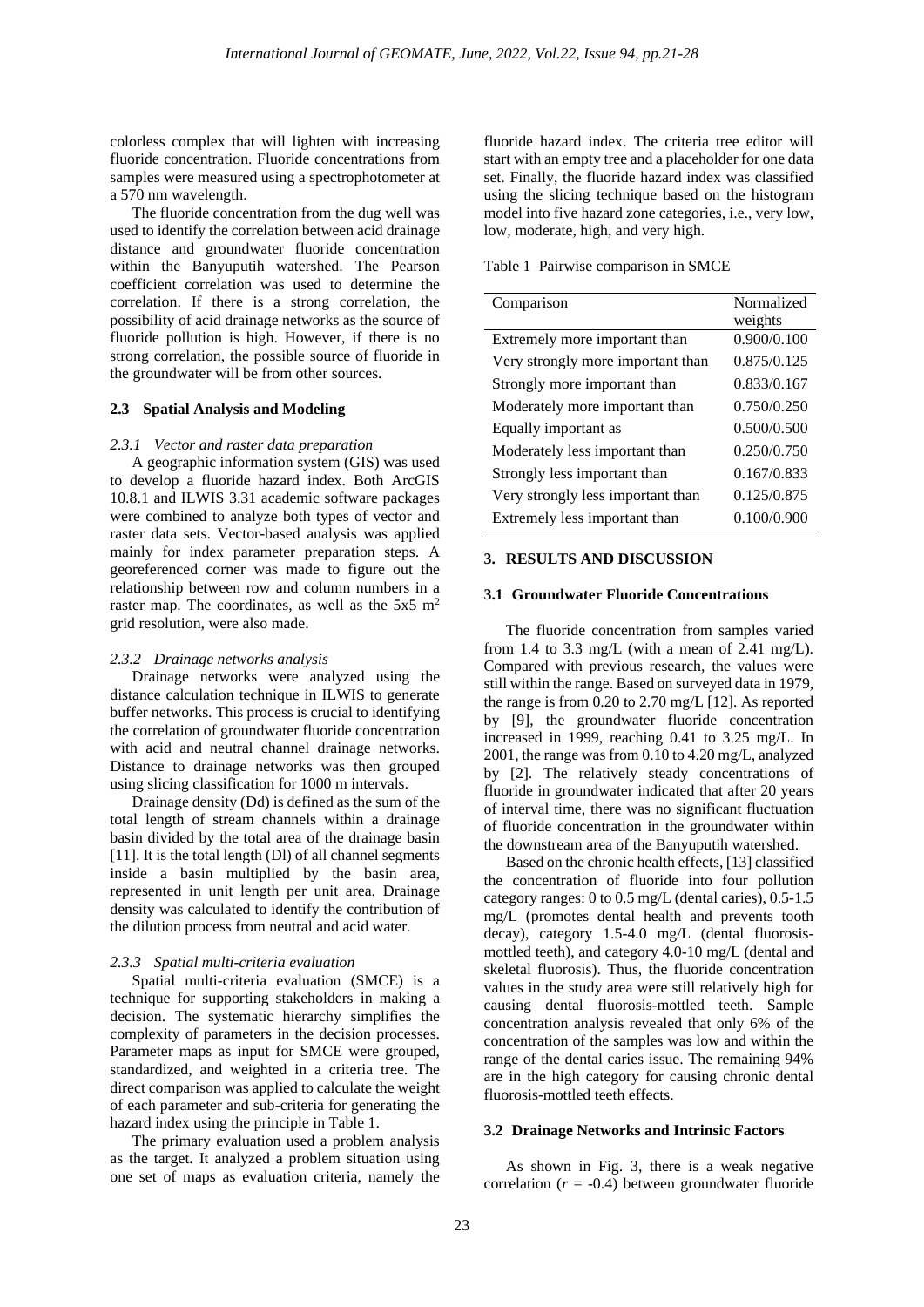colorless complex that will lighten with increasing fluoride concentration. Fluoride concentrations from samples were measured using a spectrophotometer at a 570 nm wavelength.

The fluoride concentration from the dug well was used to identify the correlation between acid drainage distance and groundwater fluoride concentration within the Banyuputih watershed. The Pearson coefficient correlation was used to determine the correlation. If there is a strong correlation, the possibility of acid drainage networks as the source of fluoride pollution is high. However, if there is no strong correlation, the possible source of fluoride in the groundwater will be from other sources.

#### **2.3 Spatial Analysis and Modeling**

#### *2.3.1 Vector and raster data preparation*

A geographic information system (GIS) was used to develop a fluoride hazard index. Both ArcGIS 10.8.1 and ILWIS 3.31 academic software packages were combined to analyze both types of vector and raster data sets. Vector-based analysis was applied mainly for index parameter preparation steps. A georeferenced corner was made to figure out the relationship between row and column numbers in a raster map. The coordinates, as well as the  $5x5 \text{ m}^2$ grid resolution, were also made.

#### *2.3.2 Drainage networks analysis*

Drainage networks were analyzed using the distance calculation technique in ILWIS to generate buffer networks. This process is crucial to identifying the correlation of groundwater fluoride concentration with acid and neutral channel drainage networks. Distance to drainage networks was then grouped using slicing classification for 1000 m intervals.

Drainage density (Dd) is defined as the sum of the total length of stream channels within a drainage basin divided by the total area of the drainage basin [11]. It is the total length (Dl) of all channel segments inside a basin multiplied by the basin area, represented in unit length per unit area. Drainage density was calculated to identify the contribution of the dilution process from neutral and acid water.

#### *2.3.3 Spatial multi-criteria evaluation*

Spatial multi-criteria evaluation (SMCE) is a technique for supporting stakeholders in making a decision. The systematic hierarchy simplifies the complexity of parameters in the decision processes. Parameter maps as input for SMCE were grouped, standardized, and weighted in a criteria tree. The direct comparison was applied to calculate the weight of each parameter and sub-criteria for generating the hazard index using the principle in Table 1.

The primary evaluation used a problem analysis as the target. It analyzed a problem situation using one set of maps as evaluation criteria, namely the fluoride hazard index. The criteria tree editor will start with an empty tree and a placeholder for one data set. Finally, the fluoride hazard index was classified using the slicing technique based on the histogram model into five hazard zone categories, i.e., very low, low, moderate, high, and very high.

Table 1 Pairwise comparison in SMCE

| Comparison                        | Normalized<br>weights |
|-----------------------------------|-----------------------|
| Extremely more important than     | 0.900/0.100           |
| Very strongly more important than | 0.875/0.125           |
| Strongly more important than      | 0.833/0.167           |
| Moderately more important than    | 0.750/0.250           |
| Equally important as              | 0.500/0.500           |
| Moderately less important than    | 0.250/0.750           |
| Strongly less important than      | 0.167/0.833           |
| Very strongly less important than | 0.125/0.875           |
| Extremely less important than     | 0.100/0.900           |

#### **3. RESULTS AND DISCUSSION**

#### **3.1 Groundwater Fluoride Concentrations**

The fluoride concentration from samples varied from 1.4 to 3.3 mg/L (with a mean of 2.41 mg/L). Compared with previous research, the values were still within the range. Based on surveyed data in 1979, the range is from 0.20 to 2.70 mg/L [12]. As reported by [9], the groundwater fluoride concentration increased in 1999, reaching 0.41 to 3.25 mg/L. In 2001, the range was from 0.10 to 4.20 mg/L, analyzed by [2]. The relatively steady concentrations of fluoride in groundwater indicated that after 20 years of interval time, there was no significant fluctuation of fluoride concentration in the groundwater within the downstream area of the Banyuputih watershed.

Based on the chronic health effects, [13] classified the concentration of fluoride into four pollution category ranges: 0 to 0.5 mg/L (dental caries), 0.5-1.5 mg/L (promotes dental health and prevents tooth decay), category 1.5-4.0 mg/L (dental fluorosismottled teeth), and category 4.0-10 mg/L (dental and skeletal fluorosis). Thus, the fluoride concentration values in the study area were still relatively high for causing dental fluorosis-mottled teeth. Sample concentration analysis revealed that only 6% of the concentration of the samples was low and within the range of the dental caries issue. The remaining 94% are in the high category for causing chronic dental fluorosis-mottled teeth effects.

#### **3.2 Drainage Networks and Intrinsic Factors**

As shown in Fig. 3, there is a weak negative correlation  $(r = -0.4)$  between groundwater fluoride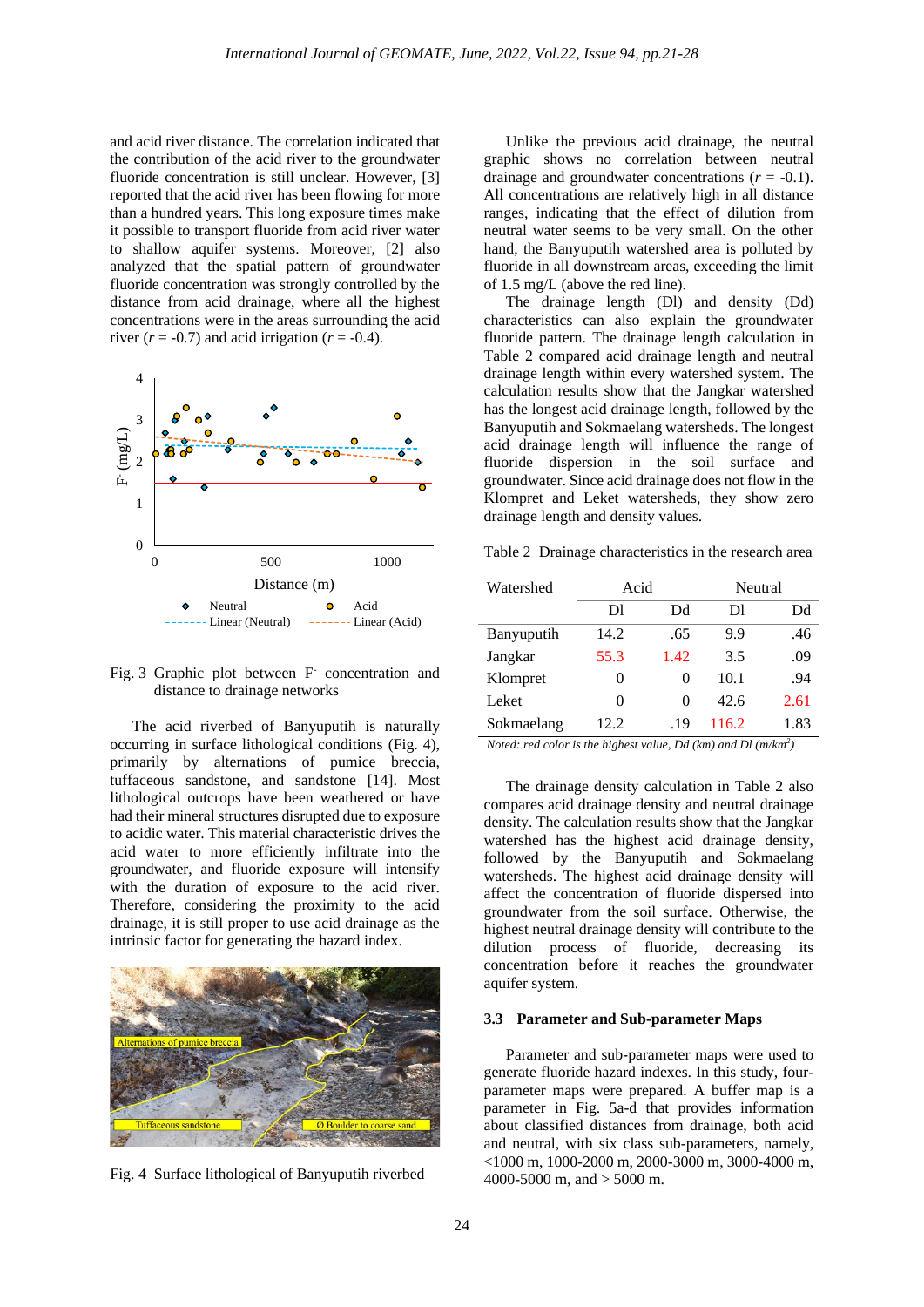and acid river distance. The correlation indicated that the contribution of the acid river to the groundwater fluoride concentration is still unclear. However, [3] reported that the acid river has been flowing for more than a hundred years. This long exposure times make it possible to transport fluoride from acid river water to shallow aquifer systems. Moreover, [2] also analyzed that the spatial pattern of groundwater fluoride concentration was strongly controlled by the distance from acid drainage, where all the highest concentrations were in the areas surrounding the acid river  $(r = -0.7)$  and acid irrigation  $(r = -0.4)$ .



Fig. 3 Graphic plot between F concentration and distance to drainage networks

The acid riverbed of Banyuputih is naturally occurring in surface lithological conditions (Fig. 4), primarily by alternations of pumice breccia, tuffaceous sandstone, and sandstone [14]. Most lithological outcrops have been weathered or have had their mineral structures disrupted due to exposure to acidic water. This material characteristic drives the acid water to more efficiently infiltrate into the groundwater, and fluoride exposure will intensify with the duration of exposure to the acid river. Therefore, considering the proximity to the acid drainage, it is still proper to use acid drainage as the intrinsic factor for generating the hazard index.



Fig. 4 Surface lithological of Banyuputih riverbed

Unlike the previous acid drainage, the neutral graphic shows no correlation between neutral drainage and groundwater concentrations  $(r = -0.1)$ . All concentrations are relatively high in all distance ranges, indicating that the effect of dilution from neutral water seems to be very small. On the other hand, the Banyuputih watershed area is polluted by fluoride in all downstream areas, exceeding the limit of 1.5 mg/L (above the red line).

The drainage length (Dl) and density (Dd) characteristics can also explain the groundwater fluoride pattern. The drainage length calculation in Table 2 compared acid drainage length and neutral drainage length within every watershed system. The calculation results show that the Jangkar watershed has the longest acid drainage length, followed by the Banyuputih and Sokmaelang watersheds. The longest acid drainage length will influence the range of fluoride dispersion in the soil surface and groundwater. Since acid drainage does not flow in the Klompret and Leket watersheds, they show zero drainage length and density values.

Table 2 Drainage characteristics in the research area

| Watershed  | Acid     |                   | Neutral |      |
|------------|----------|-------------------|---------|------|
|            | Dl       | Dd                | DI      | Dd   |
| Banyuputih | 14.2     | .65               | 9.9     | .46  |
| Jangkar    | 55.3     | 1.42              | 3.5     | .09  |
| Klompret   | $\theta$ | 0                 | 10.1    | .94  |
| Leket      | 0        | $\mathbf{\Omega}$ | 42.6    | 2.61 |
| Sokmaelang | 12.2     | .19               | 116.2   | 1.83 |

*Noted: red color is the highest value, Dd (km) and Dl (m/km<sup>2</sup> )*

The drainage density calculation in Table 2 also compares acid drainage density and neutral drainage density. The calculation results show that the Jangkar watershed has the highest acid drainage density, followed by the Banyuputih and Sokmaelang watersheds. The highest acid drainage density will affect the concentration of fluoride dispersed into groundwater from the soil surface. Otherwise, the highest neutral drainage density will contribute to the dilution process of fluoride, decreasing its concentration before it reaches the groundwater aquifer system.

#### **3.3 Parameter and Sub-parameter Maps**

Parameter and sub-parameter maps were used to generate fluoride hazard indexes. In this study, fourparameter maps were prepared. A buffer map is a parameter in Fig. 5a-d that provides information about classified distances from drainage, both acid and neutral, with six class sub-parameters, namely, <1000 m, 1000-2000 m, 2000-3000 m, 3000-4000 m, 4000-5000 m, and > 5000 m.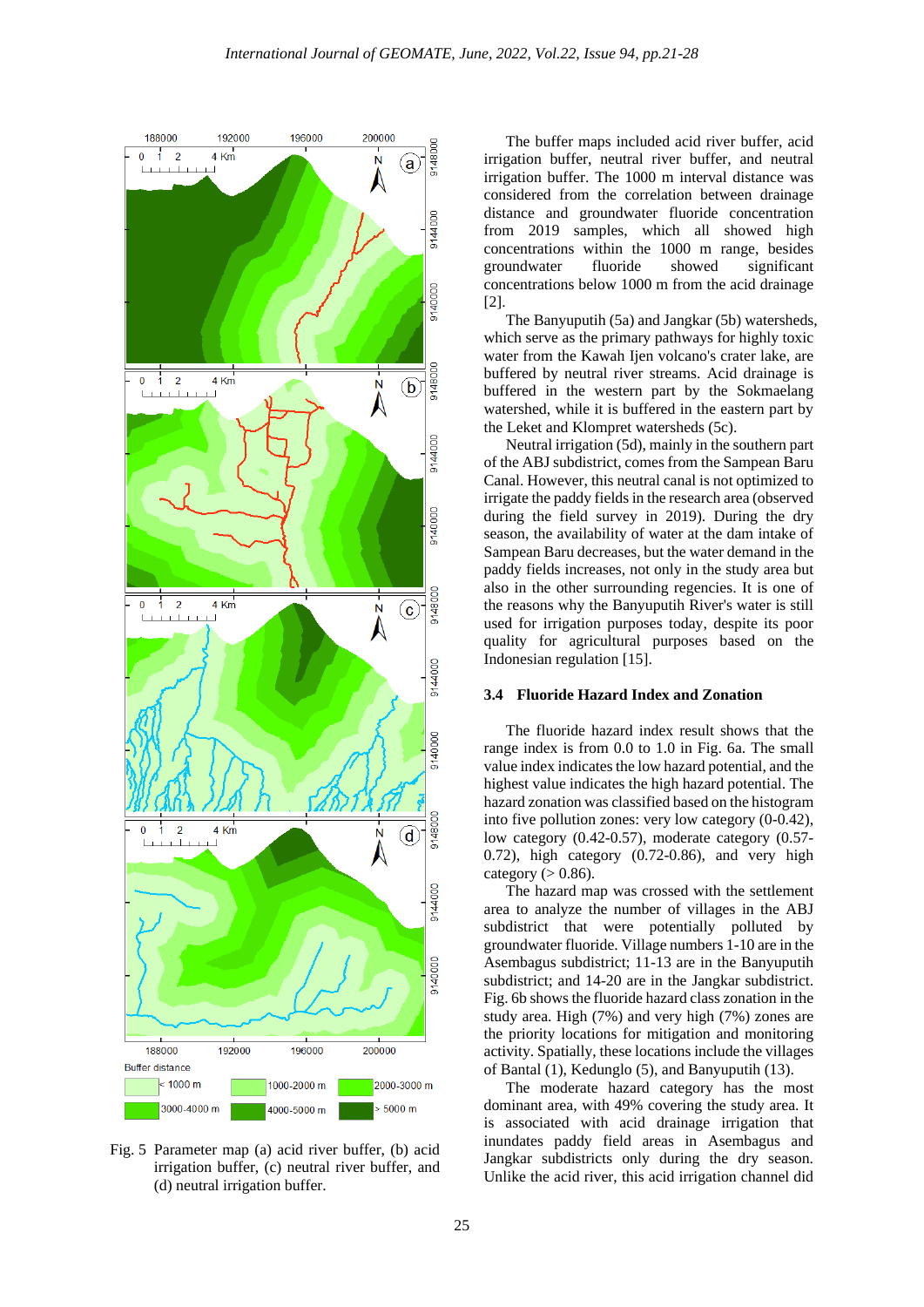

Fig. 5 Parameter map (a) acid river buffer, (b) acid irrigation buffer, (c) neutral river buffer, and (d) neutral irrigation buffer.

The buffer maps included acid river buffer, acid irrigation buffer, neutral river buffer, and neutral irrigation buffer. The 1000 m interval distance was considered from the correlation between drainage distance and groundwater fluoride concentration from 2019 samples, which all showed high concentrations within the 1000 m range, besides groundwater fluoride showed significant concentrations below 1000 m from the acid drainage [2].

The Banyuputih (5a) and Jangkar (5b) watersheds, which serve as the primary pathways for highly toxic water from the Kawah Ijen volcano's crater lake, are buffered by neutral river streams. Acid drainage is buffered in the western part by the Sokmaelang watershed, while it is buffered in the eastern part by the Leket and Klompret watersheds (5c).

Neutral irrigation (5d), mainly in the southern part of the ABJ subdistrict, comes from the Sampean Baru Canal. However, this neutral canal is not optimized to irrigate the paddy fields in the research area (observed during the field survey in 2019). During the dry season, the availability of water at the dam intake of Sampean Baru decreases, but the water demand in the paddy fields increases, not only in the study area but also in the other surrounding regencies. It is one of the reasons why the Banyuputih River's water is still used for irrigation purposes today, despite its poor quality for agricultural purposes based on the Indonesian regulation [15].

### **3.4 Fluoride Hazard Index and Zonation**

The fluoride hazard index result shows that the range index is from 0.0 to 1.0 in Fig. 6a. The small value index indicates the low hazard potential, and the highest value indicates the high hazard potential. The hazard zonation was classified based on the histogram into five pollution zones: very low category (0-0.42), low category (0.42-0.57), moderate category (0.57- 0.72), high category (0.72-0.86), and very high category  $(> 0.86)$ .

The hazard map was crossed with the settlement area to analyze the number of villages in the ABJ subdistrict that were potentially polluted by groundwater fluoride. Village numbers 1-10 are in the Asembagus subdistrict; 11-13 are in the Banyuputih subdistrict; and 14-20 are in the Jangkar subdistrict. Fig. 6b shows the fluoride hazard class zonation in the study area. High (7%) and very high (7%) zones are the priority locations for mitigation and monitoring activity. Spatially, these locations include the villages of Bantal (1), Kedunglo (5), and Banyuputih (13).

The moderate hazard category has the most dominant area, with 49% covering the study area. It is associated with acid drainage irrigation that inundates paddy field areas in Asembagus and Jangkar subdistricts only during the dry season. Unlike the acid river, this acid irrigation channel did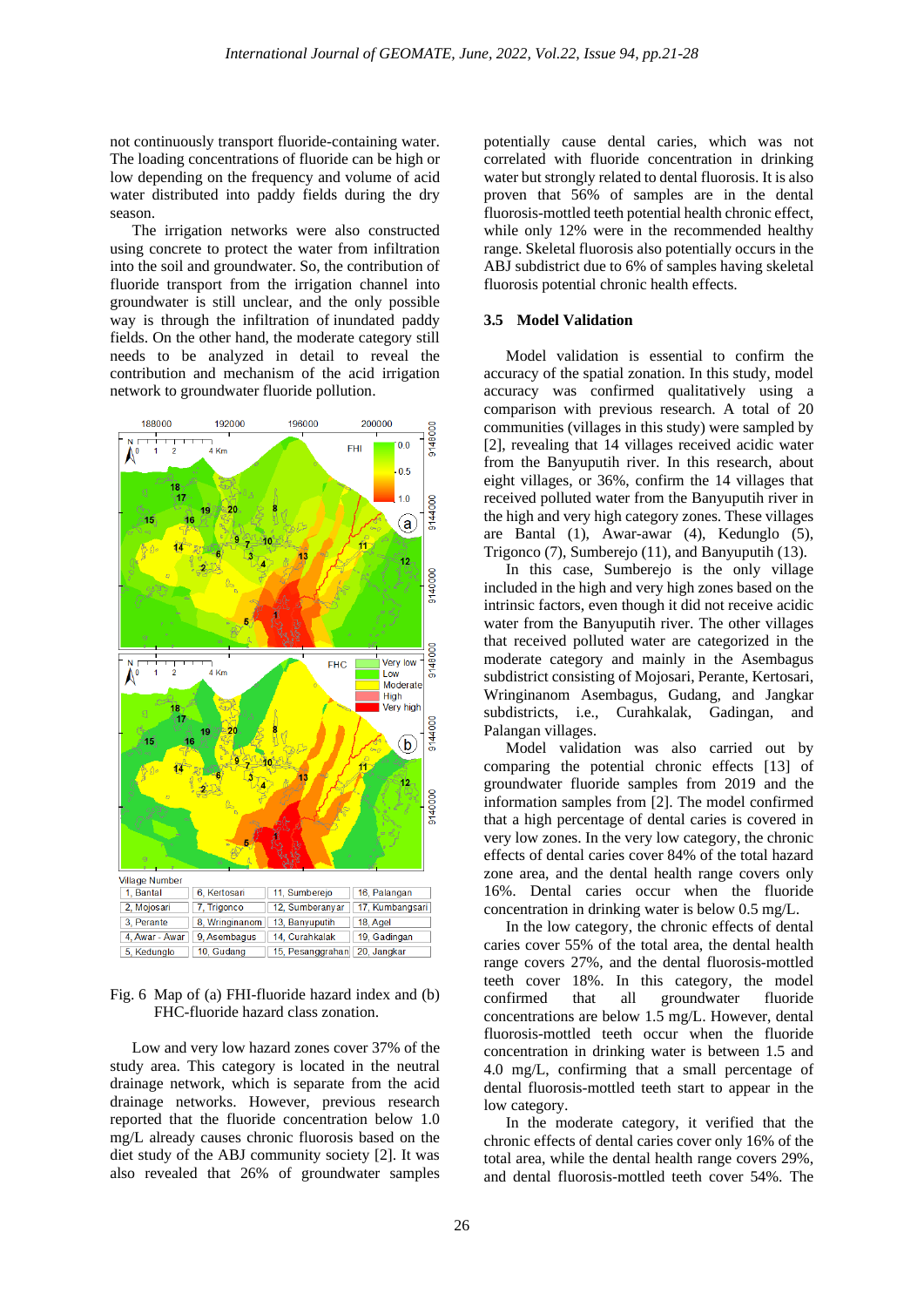not continuously transport fluoride-containing water. The loading concentrations of fluoride can be high or low depending on the frequency and volume of acid water distributed into paddy fields during the dry season.

The irrigation networks were also constructed using concrete to protect the water from infiltration into the soil and groundwater. So, the contribution of fluoride transport from the irrigation channel into groundwater is still unclear, and the only possible way is through the infiltration of inundated paddy fields. On the other hand, the moderate category still needs to be analyzed in detail to reveal the contribution and mechanism of the acid irrigation network to groundwater fluoride pollution.



Fig. 6 Map of (a) FHI-fluoride hazard index and (b) FHC-fluoride hazard class zonation.

Low and very low hazard zones cover 37% of the study area. This category is located in the neutral drainage network, which is separate from the acid drainage networks. However, previous research reported that the fluoride concentration below 1.0 mg/L already causes chronic fluorosis based on the diet study of the ABJ community society [2]. It was also revealed that 26% of groundwater samples potentially cause dental caries, which was not correlated with fluoride concentration in drinking water but strongly related to dental fluorosis. It is also proven that 56% of samples are in the dental fluorosis-mottled teeth potential health chronic effect, while only 12% were in the recommended healthy range. Skeletal fluorosis also potentially occurs in the ABJ subdistrict due to 6% of samples having skeletal fluorosis potential chronic health effects.

# **3.5 Model Validation**

Model validation is essential to confirm the accuracy of the spatial zonation. In this study, model accuracy was confirmed qualitatively using a comparison with previous research. A total of 20 communities (villages in this study) were sampled by [2], revealing that 14 villages received acidic water from the Banyuputih river. In this research, about eight villages, or 36%, confirm the 14 villages that received polluted water from the Banyuputih river in the high and very high category zones. These villages are Bantal (1), Awar-awar (4), Kedunglo (5), Trigonco (7), Sumberejo (11), and Banyuputih (13).

In this case, Sumberejo is the only village included in the high and very high zones based on the intrinsic factors, even though it did not receive acidic water from the Banyuputih river. The other villages that received polluted water are categorized in the moderate category and mainly in the Asembagus subdistrict consisting of Mojosari, Perante, Kertosari, Wringinanom Asembagus, Gudang, and Jangkar subdistricts, i.e., Curahkalak, Gadingan, and Palangan villages.

Model validation was also carried out by comparing the potential chronic effects [13] of groundwater fluoride samples from 2019 and the information samples from [2]. The model confirmed that a high percentage of dental caries is covered in very low zones. In the very low category, the chronic effects of dental caries cover 84% of the total hazard zone area, and the dental health range covers only 16%. Dental caries occur when the fluoride concentration in drinking water is below 0.5 mg/L.

In the low category, the chronic effects of dental caries cover 55% of the total area, the dental health range covers 27%, and the dental fluorosis-mottled teeth cover 18%. In this category, the model confirmed that all groundwater fluoride concentrations are below  $1.5 \text{ mg/L}$ . However, dental fluorosis-mottled teeth occur when the fluoride concentration in drinking water is between 1.5 and 4.0 mg/L, confirming that a small percentage of dental fluorosis-mottled teeth start to appear in the low category.

In the moderate category, it verified that the chronic effects of dental caries cover only 16% of the total area, while the dental health range covers 29%, and dental fluorosis-mottled teeth cover 54%. The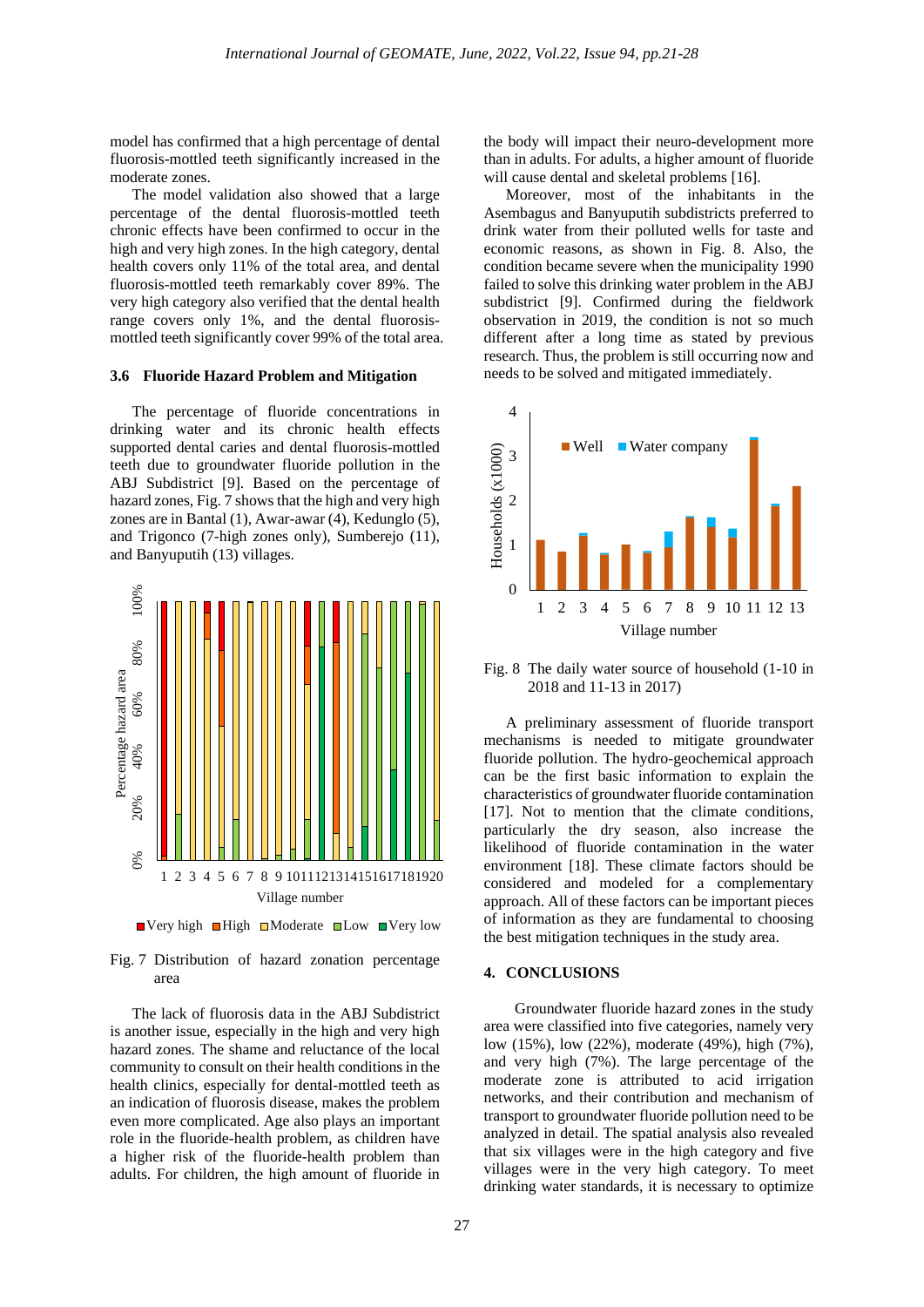model has confirmed that a high percentage of dental fluorosis-mottled teeth significantly increased in the moderate zones.

The model validation also showed that a large percentage of the dental fluorosis-mottled teeth chronic effects have been confirmed to occur in the high and very high zones. In the high category, dental health covers only 11% of the total area, and dental fluorosis-mottled teeth remarkably cover 89%. The very high category also verified that the dental health range covers only 1%, and the dental fluorosismottled teeth significantly cover 99% of the total area.

#### **3.6 Fluoride Hazard Problem and Mitigation**

The percentage of fluoride concentrations in drinking water and its chronic health effects supported dental caries and dental fluorosis-mottled teeth due to groundwater fluoride pollution in the ABJ Subdistrict [9]. Based on the percentage of hazard zones, Fig. 7 shows that the high and very high zones are in Bantal (1), Awar-awar (4), Kedunglo (5), and Trigonco (7-high zones only), Sumberejo (11), and Banyuputih (13) villages.



 $\blacksquare$  Very high  $\blacksquare$  High  $\blacksquare$  Moderate  $\blacksquare$  Low  $\blacksquare$  Very low



The lack of fluorosis data in the ABJ Subdistrict is another issue, especially in the high and very high hazard zones. The shame and reluctance of the local community to consult on their health conditions in the health clinics, especially for dental-mottled teeth as an indication of fluorosis disease, makes the problem even more complicated. Age also plays an important role in the fluoride-health problem, as children have a higher risk of the fluoride-health problem than adults. For children, the high amount of fluoride in

the body will impact their neuro-development more than in adults. For adults, a higher amount of fluoride will cause dental and skeletal problems [16].

Moreover, most of the inhabitants in the Asembagus and Banyuputih subdistricts preferred to drink water from their polluted wells for taste and economic reasons, as shown in Fig. 8. Also, the condition became severe when the municipality 1990 failed to solve this drinking water problem in the ABJ subdistrict [9]. Confirmed during the fieldwork observation in 2019, the condition is not so much different after a long time as stated by previous research. Thus, the problem is still occurring now and needs to be solved and mitigated immediately.



Fig. 8 The daily water source of household (1-10 in 2018 and 11-13 in 2017)

A preliminary assessment of fluoride transport mechanisms is needed to mitigate groundwater fluoride pollution. The hydro-geochemical approach can be the first basic information to explain the characteristics of groundwater fluoride contamination [17]. Not to mention that the climate conditions, particularly the dry season, also increase the likelihood of fluoride contamination in the water environment [18]. These climate factors should be considered and modeled for a complementary approach. All of these factors can be important pieces of information as they are fundamental to choosing the best mitigation techniques in the study area.

#### **4. CONCLUSIONS**

Groundwater fluoride hazard zones in the study area were classified into five categories, namely very low (15%), low (22%), moderate (49%), high (7%), and very high (7%). The large percentage of the moderate zone is attributed to acid irrigation networks, and their contribution and mechanism of transport to groundwater fluoride pollution need to be analyzed in detail. The spatial analysis also revealed that six villages were in the high category and five villages were in the very high category. To meet drinking water standards, it is necessary to optimize